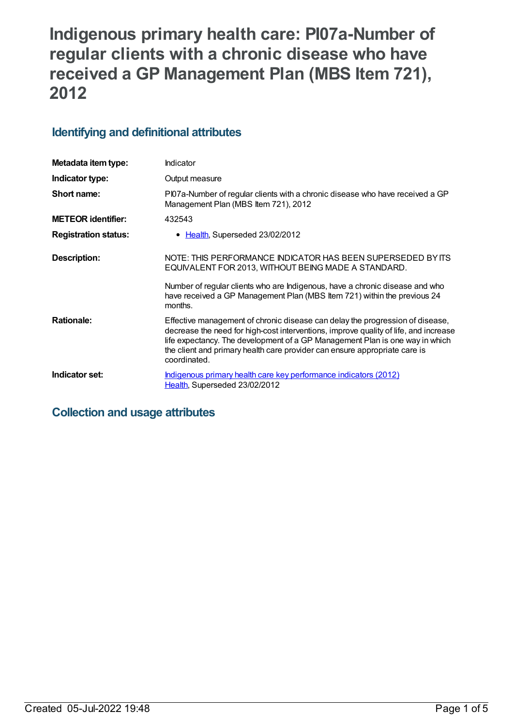# **Indigenous primary health care: PI07a-Number of regular clients with a chronic disease who have received a GP Management Plan (MBS Item 721), 2012**

## **Identifying and definitional attributes**

| Metadata item type:         | Indicator                                                                                                                                                                                                                                                                                                                                           |
|-----------------------------|-----------------------------------------------------------------------------------------------------------------------------------------------------------------------------------------------------------------------------------------------------------------------------------------------------------------------------------------------------|
| Indicator type:             | Output measure                                                                                                                                                                                                                                                                                                                                      |
| Short name:                 | PI07a-Number of regular clients with a chronic disease who have received a GP<br>Management Plan (MBS Item 721), 2012                                                                                                                                                                                                                               |
| <b>METEOR identifier:</b>   | 432543                                                                                                                                                                                                                                                                                                                                              |
| <b>Registration status:</b> | • Health, Superseded 23/02/2012                                                                                                                                                                                                                                                                                                                     |
| Description:                | NOTE: THIS PERFORMANCE INDICATOR HAS BEEN SUPERSEDED BY ITS<br>EQUIVALENT FOR 2013, WITHOUT BEING MADE A STANDARD.                                                                                                                                                                                                                                  |
|                             | Number of regular clients who are Indigenous, have a chronic disease and who<br>have received a GP Management Plan (MBS Item 721) within the previous 24<br>months.                                                                                                                                                                                 |
| <b>Rationale:</b>           | Effective management of chronic disease can delay the progression of disease,<br>decrease the need for high-cost interventions, improve quality of life, and increase<br>life expectancy. The development of a GP Management Plan is one way in which<br>the client and primary health care provider can ensure appropriate care is<br>coordinated. |
| Indicator set:              | Indigenous primary health care key performance indicators (2012)<br>Health, Superseded 23/02/2012                                                                                                                                                                                                                                                   |

## **Collection and usage attributes**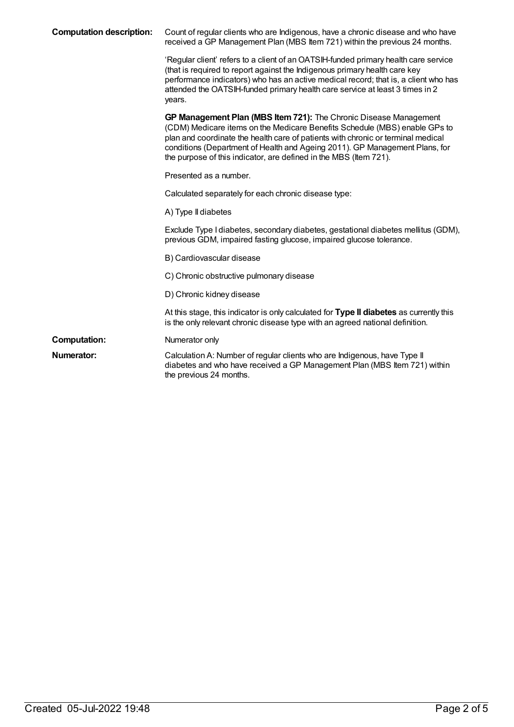| <b>Computation description:</b> | Count of regular clients who are Indigenous, have a chronic disease and who have<br>received a GP Management Plan (MBS Item 721) within the previous 24 months.                                                                                                                                                                                                                         |
|---------------------------------|-----------------------------------------------------------------------------------------------------------------------------------------------------------------------------------------------------------------------------------------------------------------------------------------------------------------------------------------------------------------------------------------|
|                                 | 'Regular client' refers to a client of an OATSIH-funded primary health care service<br>(that is required to report against the Indigenous primary health care key<br>performance indicators) who has an active medical record; that is, a client who has<br>attended the OATSIH-funded primary health care service at least 3 times in 2<br>years.                                      |
|                                 | GP Management Plan (MBS Item 721): The Chronic Disease Management<br>(CDM) Medicare items on the Medicare Benefits Schedule (MBS) enable GPs to<br>plan and coordinate the health care of patients with chronic or terminal medical<br>conditions (Department of Health and Ageing 2011). GP Management Plans, for<br>the purpose of this indicator, are defined in the MBS (Item 721). |
|                                 | Presented as a number.                                                                                                                                                                                                                                                                                                                                                                  |
|                                 | Calculated separately for each chronic disease type:                                                                                                                                                                                                                                                                                                                                    |
|                                 | A) Type II diabetes                                                                                                                                                                                                                                                                                                                                                                     |
|                                 | Exclude Type I diabetes, secondary diabetes, gestational diabetes mellitus (GDM),<br>previous GDM, impaired fasting glucose, impaired glucose tolerance.                                                                                                                                                                                                                                |
|                                 | B) Cardiovascular disease                                                                                                                                                                                                                                                                                                                                                               |
|                                 | C) Chronic obstructive pulmonary disease                                                                                                                                                                                                                                                                                                                                                |
|                                 | D) Chronic kidney disease                                                                                                                                                                                                                                                                                                                                                               |
|                                 | At this stage, this indicator is only calculated for Type II diabetes as currently this<br>is the only relevant chronic disease type with an agreed national definition.                                                                                                                                                                                                                |
| <b>Computation:</b>             | Numerator only                                                                                                                                                                                                                                                                                                                                                                          |
| Numerator:                      | Calculation A: Number of regular clients who are Indigenous, have Type II<br>diabetes and who have received a GP Management Plan (MBS Item 721) within<br>the previous 24 months.                                                                                                                                                                                                       |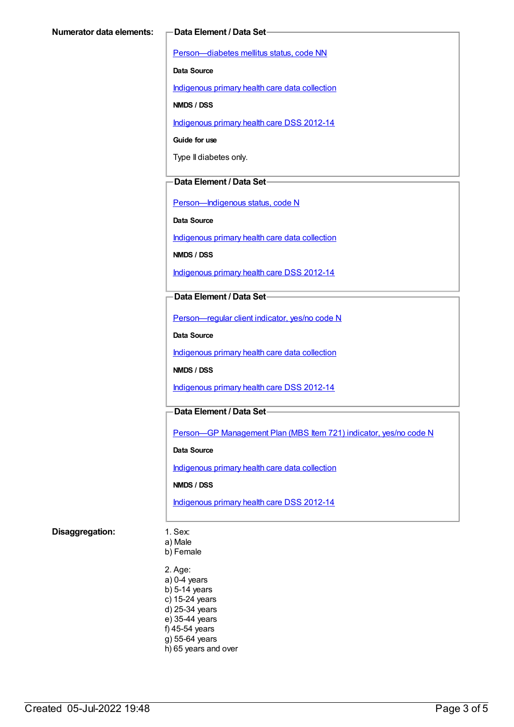[Person—diabetes](https://meteor.aihw.gov.au/content/270194) mellitus status, code NN

**Data Source**

[Indigenous](https://meteor.aihw.gov.au/content/430643) primary health care data collection

**NMDS / DSS**

[Indigenous](https://meteor.aihw.gov.au/content/430629) primary health care DSS 2012-14

**Guide for use**

Type II diabetes only.

#### **Data Element / Data Set**

[Person—Indigenous](https://meteor.aihw.gov.au/content/291036) status, code N

**Data Source**

[Indigenous](https://meteor.aihw.gov.au/content/430643) primary health care data collection

**NMDS / DSS**

[Indigenous](https://meteor.aihw.gov.au/content/430629) primary health care DSS 2012-14

#### **Data Element / Data Set**

[Person—regular](https://meteor.aihw.gov.au/content/436639) client indicator, yes/no code N

**Data Source**

[Indigenous](https://meteor.aihw.gov.au/content/430643) primary health care data collection

**NMDS / DSS**

[Indigenous](https://meteor.aihw.gov.au/content/430629) primary health care DSS 2012-14

#### **Data Element / Data Set**

Person—GP [Management](https://meteor.aihw.gov.au/content/441514) Plan (MBS Item 721) indicator, yes/no code N

**Data Source**

[Indigenous](https://meteor.aihw.gov.au/content/430643) primary health care data collection

**NMDS / DSS**

[Indigenous](https://meteor.aihw.gov.au/content/430629) primary health care DSS 2012-14

#### **Disaggregation:** 1. Sex:

a) Male

b) Female

2. Age: a) 0-4 years b) 5-14 years c) 15-24 years d) 25-34 years e) 35-44 years f) 45-54 years g) 55-64 years h) 65 years and over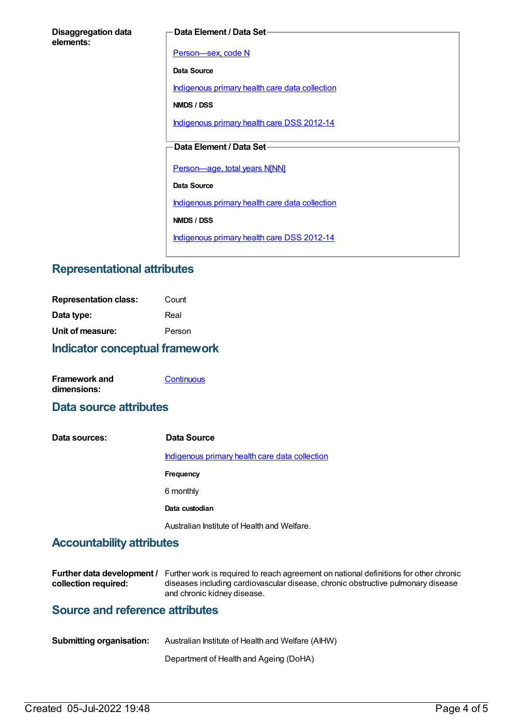#### **Data Element / Data Set**

[Person—sex,](https://meteor.aihw.gov.au/content/287316) code N

**Data Source**

[Indigenous](https://meteor.aihw.gov.au/content/430643) primary health care data collection

**NMDS / DSS**

[Indigenous](https://meteor.aihw.gov.au/content/430629) primary health care DSS 2012-14

#### **Data Element / Data Set**

[Person—age,](https://meteor.aihw.gov.au/content/303794) total years N[NN]

**Data Source**

[Indigenous](https://meteor.aihw.gov.au/content/430643) primary health care data collection

**NMDS / DSS**

[Indigenous](https://meteor.aihw.gov.au/content/430629) primary health care DSS 2012-14

## **Representational attributes**

| <b>Indicator conceptual framework</b> |        |
|---------------------------------------|--------|
| Unit of measure:                      | Person |
| Data type:                            | Real   |
| <b>Representation class:</b>          | Count  |

| <b>Framework and</b> | Continuous |
|----------------------|------------|
| dimensions:          |            |

### **Data source attributes**

**Data sources: Data Source** [Indigenous](https://meteor.aihw.gov.au/content/430643) primary health care data collection **Frequency** 6 monthly **Data custodian** Australian Institute of Health and Welfare.

## **Accountability attributes**

|                      | <b>Further data development</b> / Further work is required to reach agreement on national definitions for other chronic |
|----------------------|-------------------------------------------------------------------------------------------------------------------------|
| collection required: | diseases including cardiovascular disease, chronic obstructive pulmonary disease                                        |
|                      | and chronic kidney disease.                                                                                             |

## **Source and reference attributes**

| <b>Submitting organisation:</b> | Australian Institute of Health and Welfare (AIHW) |
|---------------------------------|---------------------------------------------------|
|                                 |                                                   |

Department of Health and Ageing (DoHA)